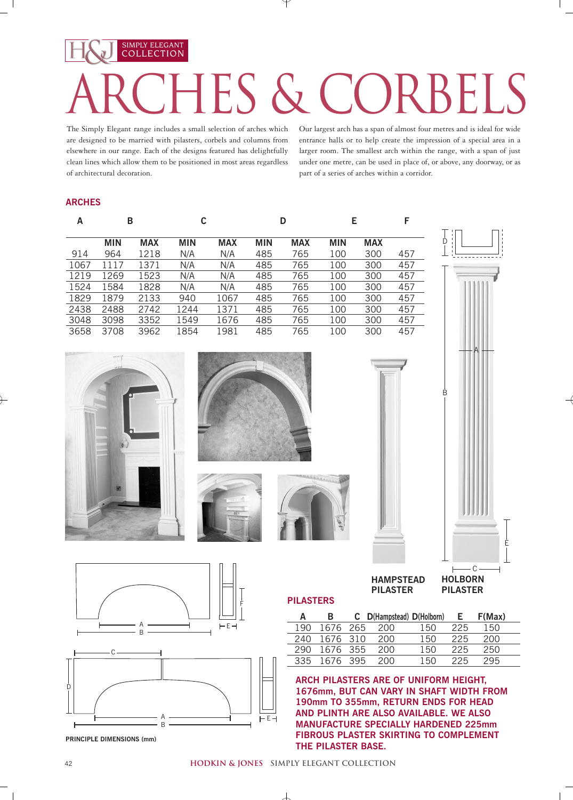# COLLECTION  $S$   $\&$   $C()$

The Simply Elegant range includes a small selection of arches which are designed to be married with pilasters, corbels and columns from elsewhere in our range. Each of the designs featured has delightfully clean lines which allow them to be positioned in most areas regardless of architectural decoration.

SIMPLY ELEGANT

Our largest arch has a span of almost four metres and is ideal for wide entrance halls or to help create the impression of a special area in a larger room. The smallest arch within the range, with a span of just under one metre, can be used in place of, or above, any doorway, or as part of a series of arches within a corridor.

### **ARCHES**

| А    | В          |            | C          |            | D          |            |            |            |     |  |
|------|------------|------------|------------|------------|------------|------------|------------|------------|-----|--|
|      | <b>MIN</b> | <b>MAX</b> | <b>MIN</b> | <b>MAX</b> | <b>MIN</b> | <b>MAX</b> | <b>MIN</b> | <b>MAX</b> |     |  |
| 914  | 964        | 1218       | N/A        | N/A        | 485        | 765        | 100        | 300        | 457 |  |
| 1067 | 1117       | 1371       | N/A        | N/A        | 485        | 765        | 100        | 300        | 457 |  |
| 1219 | 1269       | 1523       | N/A        | N/A        | 485        | 765        | 100        | 300        | 457 |  |
| 1524 | 1584       | 1828       | N/A        | N/A        | 485        | 765        | 100        | 300        | 457 |  |
| 1829 | 1879       | 2133       | 940        | 1067       | 485        | 765        | 100        | 300        | 457 |  |
| 2438 | 2488       | 2742       | 1244       | 1371       | 485        | 765        | 100        | 300        | 457 |  |
| 3048 | 3098       | 3352       | 1549       | 1676       | 485        | 765        | 100        | 300        | 457 |  |
| 3658 | 3708       | 3962       | 1854       | 1981       | 485        | 765        | 100        | 300        | 457 |  |
|      |            |            |            |            |            |            |            |            |     |  |







**PILASTERS** 



Ď

**HAMPSTEAD PILASTER**

**HOLBORN PILASTER**

E

| А   | в        | C D(Hampstead) D(Holborn) |     | E.  | F(Max) |
|-----|----------|---------------------------|-----|-----|--------|
| 190 | 1676 265 | 200                       | 150 | 225 | 150    |
| 240 | 1676 310 | 200                       | 150 | 225 | 200    |
| 290 | 1676 355 | 200                       | 150 | 225 | 250    |
| 335 | 1676 395 | 200                       | 150 | 225 | 295    |

**ARCH PILASTERS ARE OF UNIFORM HEIGHT, 1676mm, BUT CAN VARY IN SHAFT WIDTH FROM 190mm TO 355mm, RETURN ENDS FOR HEAD AND PLINTH ARE ALSO AVAILABLE. WE ALSO MANUFACTURE SPECIALLY HARDENED 225mm FIBROUS PLASTER SKIRTING TO COMPLEMENT THE PILASTER BASE.**





**PRINCIPLE DIMENSIONS (mm)**

#### **hodkin & jones simply elegant collection**

 $\perp$ 

 $\mathbb{R}^n$